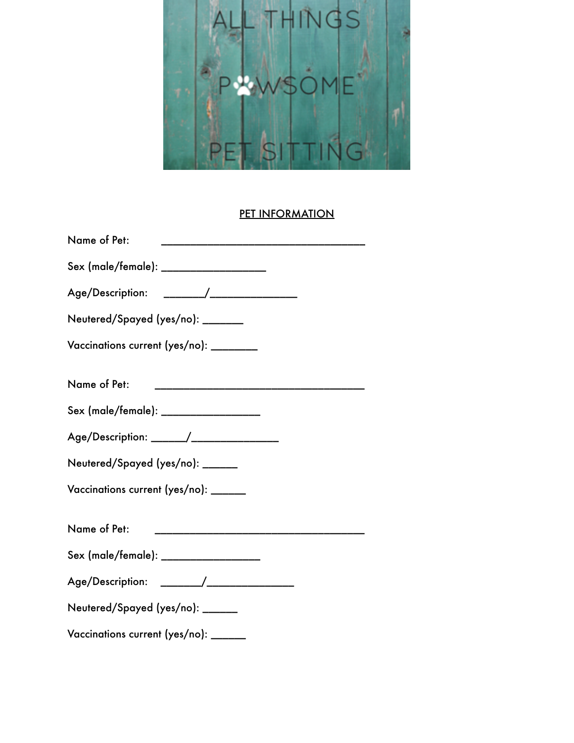

## **PET INFORMATION**

| Name of Pet:                               |
|--------------------------------------------|
| Sex (male/female): ___________________     |
| Age/Description: _______/_________________ |
| Neutered/Spayed (yes/no): _______          |
| Vaccinations current (yes/no): ________    |
| Name of Pet:                               |
| Sex (male/female): _________________       |
| Age/Description: ______/__________________ |
| Neutered/Spayed (yes/no): ______           |
| Vaccinations current (yes/no): ______      |
| Name of Pet:                               |
| Sex (male/female): __________________      |
| Age/Description: ______/________________   |
| Neutered/Spayed (yes/no): ______           |
| Vaccinations current (yes/no): ______      |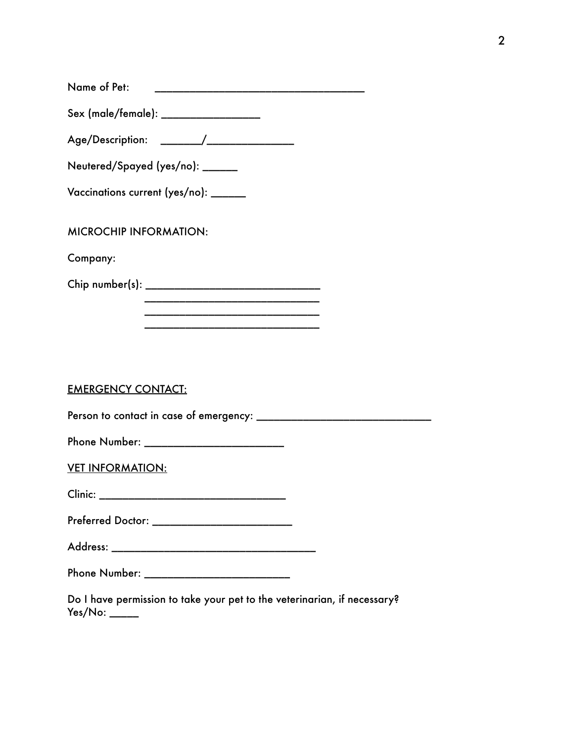Sex (male/female): \_\_\_\_\_\_\_\_\_\_\_\_\_\_\_\_\_

Age/Description: \_\_\_\_\_\_\_/\_\_\_\_\_\_\_\_\_\_\_\_\_\_\_

Neutered/Spayed (yes/no): \_\_\_\_\_\_

Vaccinations current (yes/no): \_\_\_\_\_\_

MICROCHIP INFORMATION:

Company:

Chip number(s): \_\_\_\_\_\_\_\_\_\_\_\_\_\_\_\_\_\_\_\_\_\_\_\_\_\_\_\_\_\_

 \_\_\_\_\_\_\_\_\_\_\_\_\_\_\_\_\_\_\_\_\_\_\_\_\_\_\_\_\_\_ \_\_\_\_\_\_\_\_\_\_\_\_\_\_\_\_\_\_\_\_\_\_\_\_\_\_\_\_\_\_

 \_\_\_\_\_\_\_\_\_\_\_\_\_\_\_\_\_\_\_\_\_\_\_\_\_\_\_\_\_\_

EMERGENCY CONTACT:

Person to contact in case of emergency: \_\_\_\_\_\_\_\_\_\_\_\_\_\_\_\_\_\_\_\_\_\_\_\_\_\_\_\_\_\_

Phone Number: \_\_\_\_\_\_\_\_\_\_\_\_\_\_\_\_\_\_\_\_\_\_\_\_

VET INFORMATION:

Clinic: \_\_\_\_\_\_\_\_\_\_\_\_\_\_\_\_\_\_\_\_\_\_\_\_\_\_\_\_\_\_\_\_

Preferred Doctor: \_\_\_\_\_\_\_\_\_\_\_\_\_\_\_\_\_\_\_\_\_\_\_\_

Address: \_\_\_\_\_\_\_\_\_\_\_\_\_\_\_\_\_\_\_\_\_\_\_\_\_\_\_\_\_\_\_\_\_\_\_

Phone Number: \_\_\_\_\_\_\_\_\_\_\_\_\_\_\_\_\_\_\_\_\_\_\_\_\_

Do I have permission to take your pet to the veterinarian, if necessary? Yes/No: \_\_\_\_\_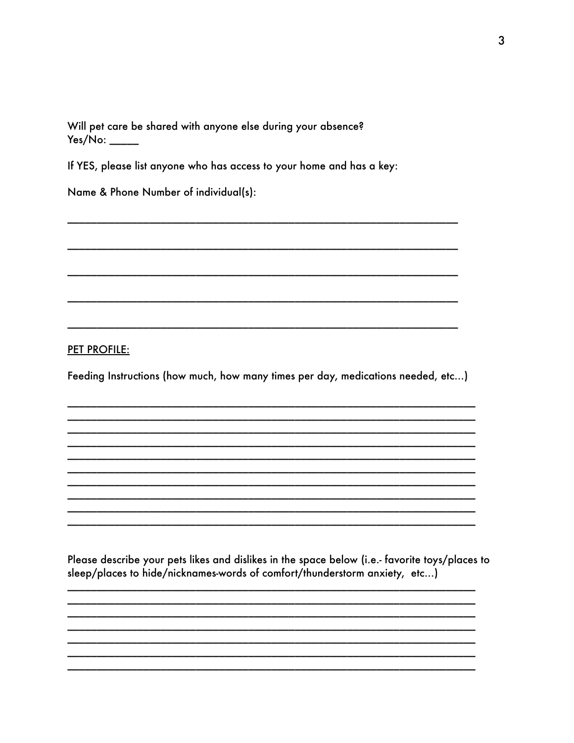Will pet care be shared with anyone else during your absence?  $Yes/No:$ 

If YES, please list anyone who has access to your home and has a key:

Name & Phone Number of individual(s):

**PET PROFILE:** 

Feeding Instructions (how much, how many times per day, medications needed, etc...)

Please describe your pets likes and dislikes in the space below (i.e.- favorite toys/places to sleep/places to hide/nicknames-words of comfort/thunderstorm anxiety, etc...)